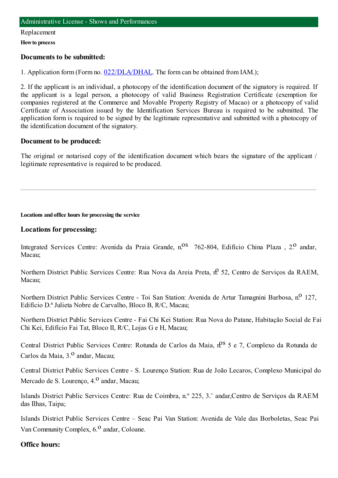#### Replacement

**Howto process**

### **Documents to be submitted:**

1. Application form (Form no. [022/DLA/DHAL](https://www.iam.gov.mo/c/pdf/eformDetail/PDF1013). The form can be obtained from IAM.);

2. If the applicant is an individual, a photocopy of the identification document of the signatory is required. If the applicant is a legal person, a photocopy of valid Business Registration Certificate (exemption for companies registered at the Commerce and Movable Property Registry of Macao) or a photocopy of valid Certificate of Association issued by the Identification Services Bureau is required to be submitted. The application form is required to be signed by the legitimate representative and submitted with a photocopy of the identification document of the signatory.

## **Document to be produced:**

The original or notarised copy of the identification document which bears the signature of the applicant / legitimate representative is required to be produced.

**Locations and office hours for processing the service**

## **Locations for processing:**

Integrated Services Centre: Avenida da Praia Grande, n.<sup>08</sup> 762-804, Edifício China Plaza , 2.<sup>0</sup> andar, Macau;

Northern District Public Services Centre: Rua Nova da Areia Preta, nº 52, Centro de Servicos da RAEM, Macau;

Northern District Public Services Centre - Toi San Station: Avenida de Artur Tamagnini Barbosa, n.º 127, Edifício D.ª Julieta Nobre de Carvalho, Bloco B, R/C, Macau;

Northern District Public Services Centre - Fai Chi Kei Station: Rua Nova do Patane, Habitação Social de Fai Chi Kei, Edifício Fai Tat, Bloco II, R/C, Lojas G e H, Macau;

Central District Public Services Centre: Rotunda de Carlos da Maia,  $n^{0.8}$  5 e 7, Complexo da Rotunda de Carlos da Maia, 3.º andar, Macau:

Central District Public Services Centre - S. Lourenço Station: Rua de João Lecaros, Complexo Municipal do Mercado de S. Lourenço, 4.<sup>0</sup> andar, Macau;

Islands District Public Services Centre: Rua de Coimbra, n.º 225, 3.˚ andar,Centro de Serviços da RAEM das Ilhas, Taipa;

Islands District Public Services Centre – Seac Pai Van Station: Avenida de Vale das Borboletas, Seac Pai Van Community Complex,  $6<sup>0</sup>$  andar, Coloane.

## **Office hours:**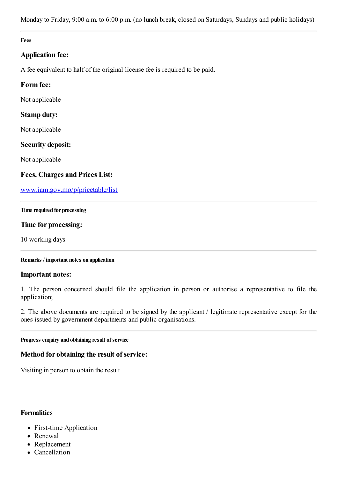Monday to Friday, 9:00 a.m. to 6:00 p.m. (no lunch break, closed on Saturdays, Sundays and public holidays)

#### **Fees**

## **Application fee:**

A fee equivalent to half of the original license fee is required to be paid.

## **Form fee:**

Not applicable

## **Stamp duty:**

Not applicable

## **Security deposit:**

Not applicable

## **Fees, Charges and Prices List:**

[www.iam.gov.mo/p/pricetable/list](http://www.iam.gov.mo/p/pricetable/list)

#### **Time required for processing**

## **Time for processing:**

10 working days

#### **Remarks / important notes on application**

#### **Important notes:**

1. The person concerned should file the application in person or authorise a representative to file the application;

2. The above documents are required to be signed by the applicant / legitimate representative except for the ones issued by government departments and public organisations.

#### **Progress enquiry and obtaining result of service**

#### **Method for obtaining the result of service:**

Visiting in person to obtain the result

### **Formalities**

- First-time Application
- Renewal
- Replacement
- Cancellation